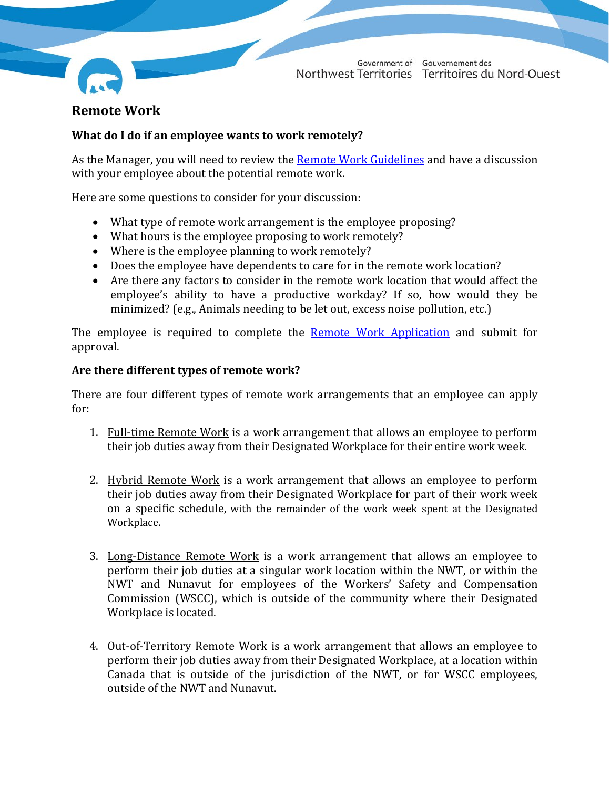

# **Remote Work**

# **What do I do if an employee wants to work remotely?**

As the Manager, you will need to review the [Remote Work Guidelines](https://my.hr.gov.nt.ca/sites/myhr/files/Remote%20Work%20Guidelines%20-%20December%202021.pdf) and have a discussion with your employee about the potential remote work.

Here are some questions to consider for your discussion:

- What type of remote work arrangement is the employee proposing?
- What hours is the employee proposing to work remotely?
- Where is the employee planning to work remotely?
- Does the employee have dependents to care for in the remote work location?<br>• Are there any factors to consider in the remote work location that would affection
- Are there any factors to consider in the remote work location that would affect the employee's ability to have a productive workday? If so, how would they be minimized? (e.g., Animals needing to be let out, excess noise pollution, etc.)

The employee is required to complete the **[Remote Work Application](https://my.hr.gov.nt.ca/sites/myhr/files/Remote%20Work%20Appendix%20A%20-Remote%20Work%20Application%20Template_Fillable.pdf)** and submit for approval.

# **Are there different types of remote work?**

There are four different types of remote work arrangements that an employee can apply for:

- 1. Full-time Remote Work is a work arrangement that allows an employee to perform their job duties away from their Designated Workplace for their entire work week.
- 2. Hybrid Remote Work is a work arrangement that allows an employee to perform their job duties away from their Designated Workplace for part of their work week on a specific schedule, with the remainder of the work week spent at the Designated Workplace.
- 3. Long-Distance Remote Work is a work arrangement that allows an employee to perform their job duties at a singular work location within the NWT, or within the NWT and Nunavut for employees of the Workers' Safety and Compensation Commission (WSCC), which is outside of the community where their Designated Workplace is located.
- 4. Out-of-Territory Remote Work is a work arrangement that allows an employee to perform their job duties away from their Designated Workplace, at a location within Canada that is outside of the jurisdiction of the NWT, or for WSCC employees, outside of the NWT and Nunavut.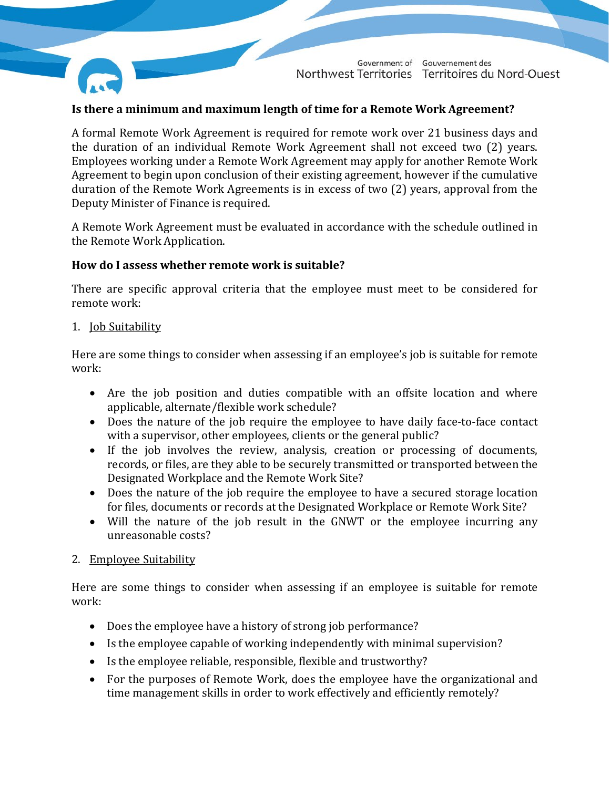

## **Is there a minimum and maximum length of time for a Remote Work Agreement?**

A formal Remote Work Agreement is required for remote work over 21 business days and the duration of an individual Remote Work Agreement shall not exceed two (2) years. Employees working under a Remote Work Agreement may apply for another Remote Work Agreement to begin upon conclusion of their existing agreement, however if the cumulative duration of the Remote Work Agreements is in excess of two (2) years, approval from the Deputy Minister of Finance is required.

A Remote Work Agreement must be evaluated in accordance with the schedule outlined in the Remote Work Application.

#### **How do I assess whether remote work is suitable?**

There are specific approval criteria that the employee must meet to be considered for remote work:

1. Job Suitability

Here are some things to consider when assessing if an employee's job is suitable for remote work:

- Are the job position and duties compatible with an offsite location and where applicable, alternate/flexible work schedule?
- Does the nature of the job require the employee to have daily face-to-face contact with a supervisor, other employees, clients or the general public?
- If the job involves the review, analysis, creation or processing of documents, records, or files, are they able to be securely transmitted or transported between the Designated Workplace and the Remote Work Site?
- Does the nature of the job require the employee to have a secured storage location for files, documents or records at the Designated Workplace or Remote Work Site?
- Will the nature of the job result in the GNWT or the employee incurring any unreasonable costs?

#### 2. Employee Suitability

Here are some things to consider when assessing if an employee is suitable for remote work:

- Does the employee have a history of strong job performance?
- Is the employee capable of working independently with minimal supervision?
- Is the employee reliable, responsible, flexible and trustworthy?
- For the purposes of Remote Work, does the employee have the organizational and time management skills in order to work effectively and efficiently remotely?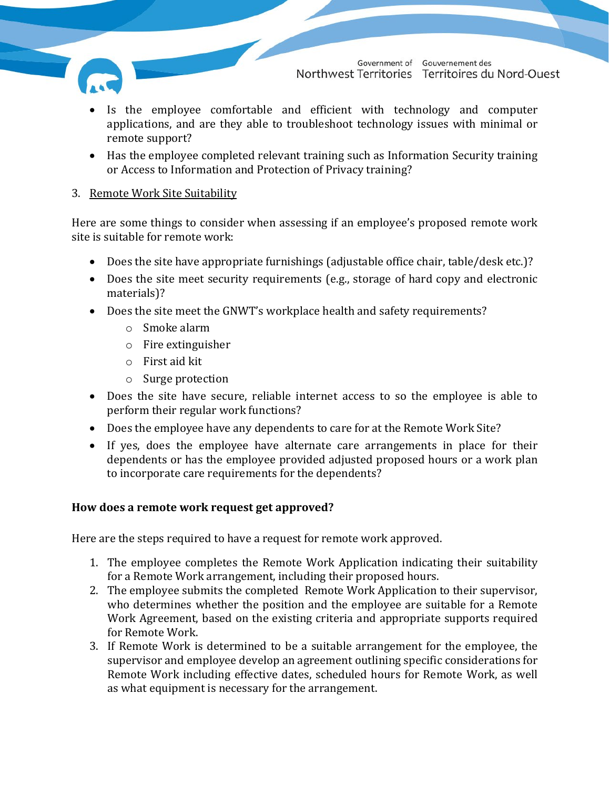

- Is the employee comfortable and efficient with technology and computer applications, and are they able to troubleshoot technology issues with minimal or remote support?
- Has the employee completed relevant training such as Information Security training or Access to Information and Protection of Privacy training?

### 3. Remote Work Site Suitability

Here are some things to consider when assessing if an employee's proposed remote work site is suitable for remote work:

- Does the site have appropriate furnishings (adjustable office chair, table/desk etc.)?
- Does the site meet security requirements (e.g., storage of hard copy and electronic materials)?
- Does the site meet the GNWT's workplace health and safety requirements?
	- o Smoke alarm
	- o Fire extinguisher
	- o First aid kit
	- o Surge protection
- Does the site have secure, reliable internet access to so the employee is able to perform their regular work functions?
- Does the employee have any dependents to care for at the Remote Work Site?
- If yes, does the employee have alternate care arrangements in place for their dependents or has the employee provided adjusted proposed hours or a work plan to incorporate care requirements for the dependents?

# **How does a remote work request get approved?**

Here are the steps required to have a request for remote work approved.

- 1. The employee completes the Remote Work Application indicating their suitability for a Remote Work arrangement, including their proposed hours.
- 2. The employee submits the completed Remote Work Application to their supervisor, who determines whether the position and the employee are suitable for a Remote Work Agreement, based on the existing criteria and appropriate supports required for Remote Work.
- 3. If Remote Work is determined to be a suitable arrangement for the employee, the supervisor and employee develop an agreement outlining specific considerations for Remote Work including effective dates, scheduled hours for Remote Work, as well as what equipment is necessary for the arrangement.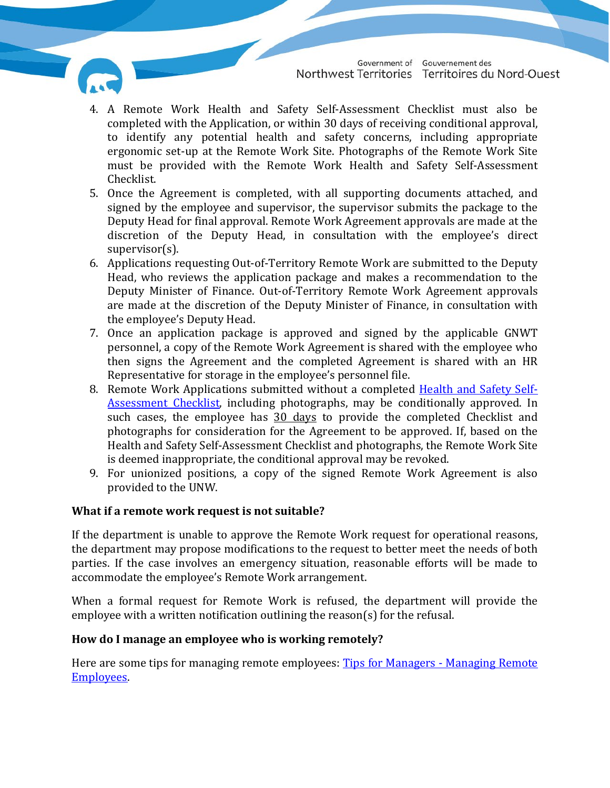

- 4. A Remote Work Health and Safety Self-Assessment Checklist must also be completed with the Application, or within 30 days of receiving conditional approval, to identify any potential health and safety concerns, including appropriate ergonomic set-up at the Remote Work Site. Photographs of the Remote Work Site must be provided with the Remote Work Health and Safety Self-Assessment Checklist.
- 5. Once the Agreement is completed, with all supporting documents attached, and signed by the employee and supervisor, the supervisor submits the package to the Deputy Head for final approval. Remote Work Agreement approvals are made at the discretion of the Deputy Head, in consultation with the employee's direct supervisor(s).
- 6. Applications requesting Out-of-Territory Remote Work are submitted to the Deputy Head, who reviews the application package and makes a recommendation to the Deputy Minister of Finance. Out-of-Territory Remote Work Agreement approvals are made at the discretion of the Deputy Minister of Finance, in consultation with the employee's Deputy Head.
- 7. Once an application package is approved and signed by the applicable GNWT personnel, a copy of the Remote Work Agreement is shared with the employee who then signs the Agreement and the completed Agreement is shared with an HR Representative for storage in the employee's personnel file.
- 8. Remote Work Applications submitted without a completed [Health and Safety Self-](https://my.hr.gov.nt.ca/sites/myhr/files/Remote%20Work%20Appendix%20C%20-%20Work%20from%20Home%20Safety%20Assessment_Fillable.pdf)[Assessment Checklist,](https://my.hr.gov.nt.ca/sites/myhr/files/Remote%20Work%20Appendix%20C%20-%20Work%20from%20Home%20Safety%20Assessment_Fillable.pdf) including photographs, may be conditionally approved. In such cases, the employee has 30 days to provide the completed Checklist and photographs for consideration for the Agreement to be approved. If, based on the Health and Safety Self-Assessment Checklist and photographs, the Remote Work Site is deemed inappropriate, the conditional approval may be revoked.
- 9. For unionized positions, a copy of the signed Remote Work Agreement is also provided to the UNW.

# **What if a remote work request is not suitable?**

If the department is unable to approve the Remote Work request for operational reasons, the department may propose modifications to the request to better meet the needs of both parties. If the case involves an emergency situation, reasonable efforts will be made to accommodate the employee's Remote Work arrangement.

When a formal request for Remote Work is refused, the department will provide the employee with a written notification outlining the reason(s) for the refusal.

# **How do I manage an employee who is working remotely?**

Here are some tips for managing remote employees: [Tips for Managers -](https://my.hr.gov.nt.ca/sites/myhr/files/Tips%20for%20Managers%20-%20Managing%20Remote%20Employees%2018%20March%202020.pdf) Managing Remote [Employees.](https://my.hr.gov.nt.ca/sites/myhr/files/Tips%20for%20Managers%20-%20Managing%20Remote%20Employees%2018%20March%202020.pdf)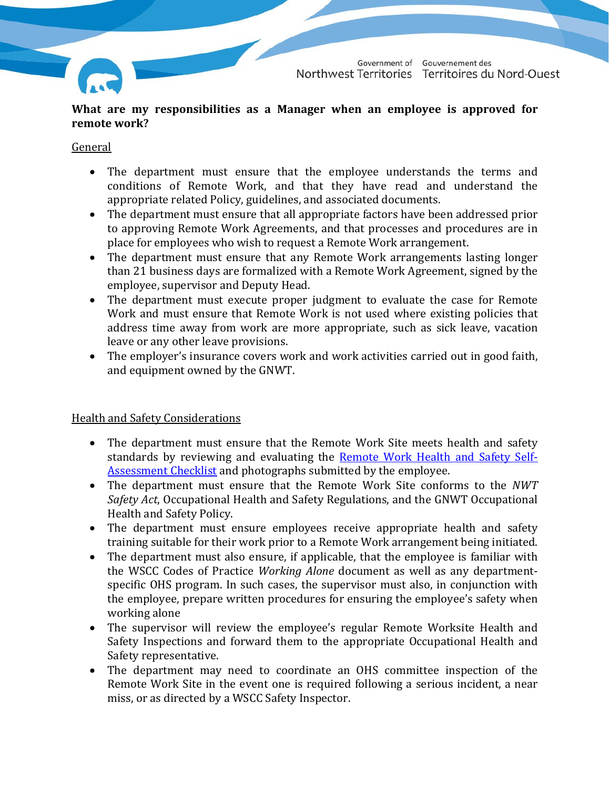

Government of Gouvernement des Territoires du Nord-Ouest Northwest Territories

**What are my responsibilities as a Manager when an employee is approved for remote work?**

#### **General**

- The department must ensure that the employee understands the terms and conditions of Remote Work, and that they have read and understand the appropriate related Policy, guidelines, and associated documents.
- The department must ensure that all appropriate factors have been addressed prior to approving Remote Work Agreements, and that processes and procedures are in place for employees who wish to request a Remote Work arrangement.
- The department must ensure that any Remote Work arrangements lasting longer than 21 business days are formalized with a Remote Work Agreement, signed by the employee, supervisor and Deputy Head.
- The department must execute proper judgment to evaluate the case for Remote Work and must ensure that Remote Work is not used where existing policies that address time away from work are more appropriate, such as sick leave, vacation leave or any other leave provisions.
- The employer's insurance covers work and work activities carried out in good faith, and equipment owned by the GNWT.

Health and Safety Considerations

- The department must ensure that the Remote Work Site meets health and safety standards by reviewing and evaluating the Remote [Work Health and Safety Self-](https://my.hr.gov.nt.ca/sites/myhr/files/Remote%20Work%20Appendix%20C%20-%20Work%20from%20Home%20Safety%20Assessment_Fillable.pdf)[Assessment Checklist](https://my.hr.gov.nt.ca/sites/myhr/files/Remote%20Work%20Appendix%20C%20-%20Work%20from%20Home%20Safety%20Assessment_Fillable.pdf) and photographs submitted by the employee.
- The department must ensure that the Remote Work Site conforms to the *NWT Safety Act*, Occupational Health and Safety Regulations, and the GNWT Occupational Health and Safety Policy.
- The department must ensure employees receive appropriate health and safety training suitable for their work prior to a Remote Work arrangement being initiated.
- The department must also ensure, if applicable, that the employee is familiar with the WSCC Codes of Practice *Working Alone* document as well as any departmentspecific OHS program. In such cases, the supervisor must also, in conjunction with the employee, prepare written procedures for ensuring the employee's safety when working alone
- The supervisor will review the employee's regular Remote Worksite Health and Safety Inspections and forward them to the appropriate Occupational Health and Safety representative.
- The department may need to coordinate an OHS committee inspection of the Remote Work Site in the event one is required following a serious incident, a near miss, or as directed by a WSCC Safety Inspector.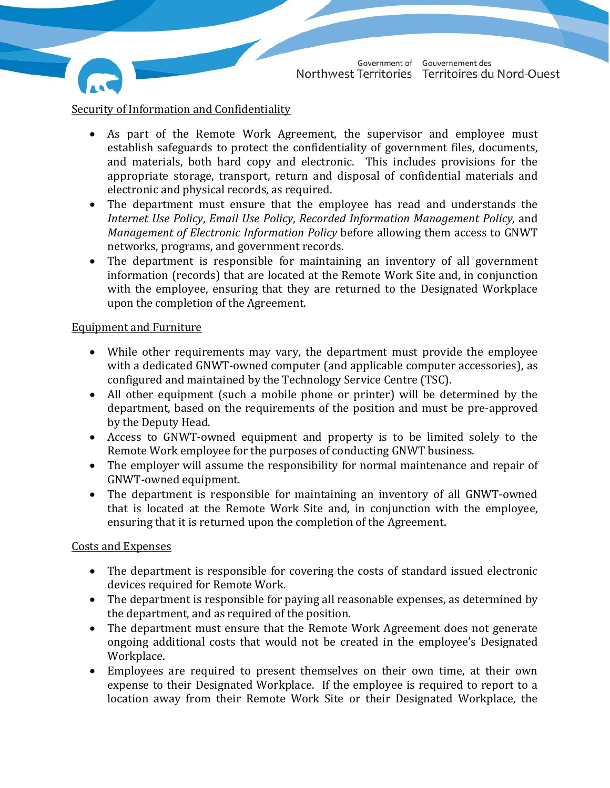

- As part of the Remote Work Agreement, the supervisor and employee must establish safeguards to protect the confidentiality of government files, documents, and materials, both hard copy and electronic. This includes provisions for the appropriate storage, transport, return and disposal of confidential materials and electronic and physical records, as required.
- The department must ensure that the employee has read and understands the *Internet Use Policy*, *Email Use Policy*, *Recorded Information Management Policy*, and *Management of Electronic Information Policy* before allowing them access to GNWT networks, programs, and government records.
- The department is responsible for maintaining an inventory of all government information (records) that are located at the Remote Work Site and, in conjunction with the employee, ensuring that they are returned to the Designated Workplace upon the completion of the Agreement.

### Equipment and Furniture

- While other requirements may vary, the department must provide the employee with a dedicated GNWT-owned computer (and applicable computer accessories), as configured and maintained by the Technology Service Centre (TSC).
- All other equipment (such a mobile phone or printer) will be determined by the department, based on the requirements of the position and must be pre-approved by the Deputy Head.
- Access to GNWT-owned equipment and property is to be limited solely to the Remote Work employee for the purposes of conducting GNWT business.
- The employer will assume the responsibility for normal maintenance and repair of GNWT-owned equipment.
- The department is responsible for maintaining an inventory of all GNWT-owned that is located at the Remote Work Site and, in conjunction with the employee, ensuring that it is returned upon the completion of the Agreement.

# Costs and Expenses

- The department is responsible for covering the costs of standard issued electronic devices required for Remote Work.
- The department is responsible for paying all reasonable expenses, as determined by the department, and as required of the position.
- The department must ensure that the Remote Work Agreement does not generate ongoing additional costs that would not be created in the employee's Designated Workplace.
- Employees are required to present themselves on their own time, at their own expense to their Designated Workplace. If the employee is required to report to a location away from their Remote Work Site or their Designated Workplace, the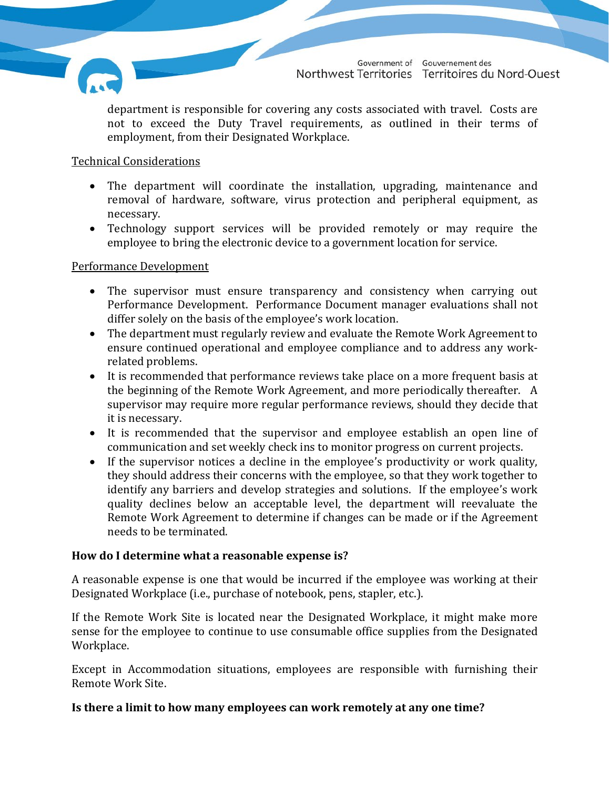

department is responsible for covering any costs associated with travel. Costs are not to exceed the Duty Travel requirements, as outlined in their terms of employment, from their Designated Workplace.

# Technical Considerations

- The department will coordinate the installation, upgrading, maintenance and removal of hardware, software, virus protection and peripheral equipment, as necessary.
- Technology support services will be provided remotely or may require the employee to bring the electronic device to a government location for service.

### Performance Development

- The supervisor must ensure transparency and consistency when carrying out Performance Development. Performance Document manager evaluations shall not differ solely on the basis of the employee's work location.
- The department must regularly review and evaluate the Remote Work Agreement to ensure continued operational and employee compliance and to address any workrelated problems.
- It is recommended that performance reviews take place on a more frequent basis at the beginning of the Remote Work Agreement, and more periodically thereafter. A supervisor may require more regular performance reviews, should they decide that it is necessary.
- It is recommended that the supervisor and employee establish an open line of communication and set weekly check ins to monitor progress on current projects.
- If the supervisor notices a decline in the employee's productivity or work quality, they should address their concerns with the employee, so that they work together to identify any barriers and develop strategies and solutions. If the employee's work quality declines below an acceptable level, the department will reevaluate the Remote Work Agreement to determine if changes can be made or if the Agreement needs to be terminated.

# **How do I determine what a reasonable expense is?**

A reasonable expense is one that would be incurred if the employee was working at their Designated Workplace (i.e., purchase of notebook, pens, stapler, etc.).

If the Remote Work Site is located near the Designated Workplace, it might make more sense for the employee to continue to use consumable office supplies from the Designated Workplace.

Except in Accommodation situations, employees are responsible with furnishing their Remote Work Site.

# **Is there a limit to how many employees can work remotely at any one time?**